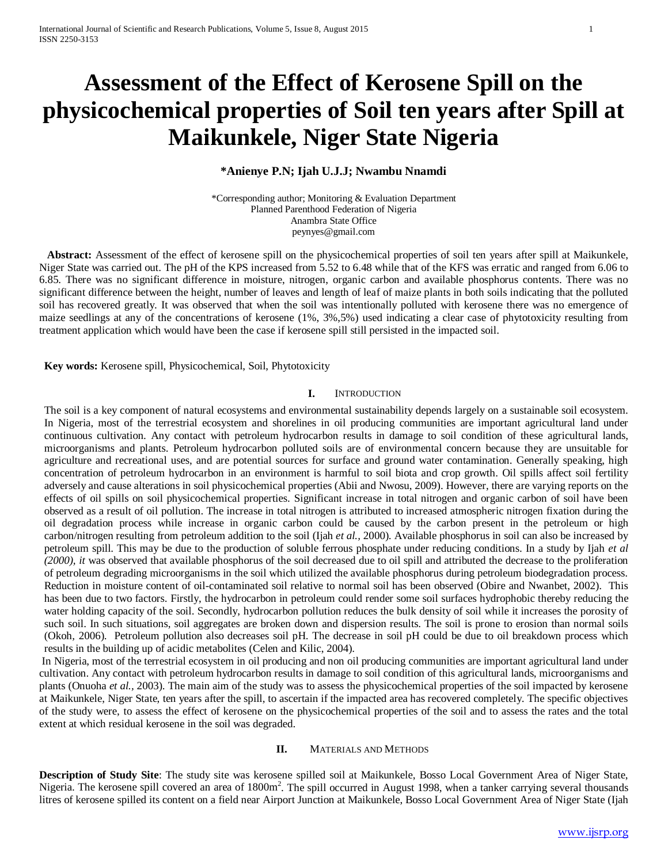# **Assessment of the Effect of Kerosene Spill on the physicochemical properties of Soil ten years after Spill at Maikunkele, Niger State Nigeria**

## **\*Anienye P.N; Ijah U.J.J; Nwambu Nnamdi**

\*Corresponding author; Monitoring & Evaluation Department Planned Parenthood Federation of Nigeria Anambra State Office peynyes@gmail.com

 **Abstract:** Assessment of the effect of kerosene spill on the physicochemical properties of soil ten years after spill at Maikunkele, Niger State was carried out. The pH of the KPS increased from 5.52 to 6.48 while that of the KFS was erratic and ranged from 6.06 to 6.85. There was no significant difference in moisture, nitrogen, organic carbon and available phosphorus contents. There was no significant difference between the height, number of leaves and length of leaf of maize plants in both soils indicating that the polluted soil has recovered greatly. It was observed that when the soil was intentionally polluted with kerosene there was no emergence of maize seedlings at any of the concentrations of kerosene (1%, 3%,5%) used indicating a clear case of phytotoxicity resulting from treatment application which would have been the case if kerosene spill still persisted in the impacted soil.

**Key words:** Kerosene spill, Physicochemical, Soil, Phytotoxicity

#### **I.** INTRODUCTION

The soil is a key component of natural ecosystems and environmental sustainability depends largely on a sustainable soil ecosystem. In Nigeria, most of the terrestrial ecosystem and shorelines in oil producing communities are important agricultural land under continuous cultivation. Any contact with petroleum hydrocarbon results in damage to soil condition of these agricultural lands, microorganisms and plants. Petroleum hydrocarbon polluted soils are of environmental concern because they are unsuitable for agriculture and recreational uses, and are potential sources for surface and ground water contamination. Generally speaking, high concentration of petroleum hydrocarbon in an environment is harmful to soil biota and crop growth. Oil spills affect soil fertility adversely and cause alterations in soil physicochemical properties (Abii and Nwosu, 2009). However, there are varying reports on the effects of oil spills on soil physicochemical properties. Significant increase in total nitrogen and organic carbon of soil have been observed as a result of oil pollution. The increase in total nitrogen is attributed to increased atmospheric nitrogen fixation during the oil degradation process while increase in organic carbon could be caused by the carbon present in the petroleum or high carbon/nitrogen resulting from petroleum addition to the soil (Ijah *et al.,* 2000). Available phosphorus in soil can also be increased by petroleum spill. This may be due to the production of soluble ferrous phosphate under reducing conditions. In a study by Ijah *et al (2000), it* was observed that available phosphorus of the soil decreased due to oil spill and attributed the decrease to the proliferation of petroleum degrading microorganisms in the soil which utilized the available phosphorus during petroleum biodegradation process. Reduction in moisture content of oil-contaminated soil relative to normal soil has been observed (Obire and Nwanbet, 2002). This has been due to two factors. Firstly, the hydrocarbon in petroleum could render some soil surfaces hydrophobic thereby reducing the water holding capacity of the soil. Secondly, hydrocarbon pollution reduces the bulk density of soil while it increases the porosity of such soil. In such situations, soil aggregates are broken down and dispersion results. The soil is prone to erosion than normal soils (Okoh*,* 2006). Petroleum pollution also decreases soil pH. The decrease in soil pH could be due to oil breakdown process which results in the building up of acidic metabolites (Celen and Kilic, 2004).

In Nigeria, most of the terrestrial ecosystem in oil producing and non oil producing communities are important agricultural land under cultivation. Any contact with petroleum hydrocarbon results in damage to soil condition of this agricultural lands, microorganisms and plants (Onuoha *et al.,* 2003). The main aim of the study was to assess the physicochemical properties of the soil impacted by kerosene at Maikunkele, Niger State, ten years after the spill, to ascertain if the impacted area has recovered completely. The specific objectives of the study were, to assess the effect of kerosene on the physicochemical properties of the soil and to assess the rates and the total extent at which residual kerosene in the soil was degraded.

### **II.** MATERIALS AND METHODS

**Description of Study Site**: The study site was kerosene spilled soil at Maikunkele, Bosso Local Government Area of Niger State, Nigeria. The kerosene spill covered an area of 1800m<sup>2</sup>. The spill occurred in August 1998, when a tanker carrying several thousands litres of kerosene spilled its content on a field near Airport Junction at Maikunkele, Bosso Local Government Area of Niger State (Ijah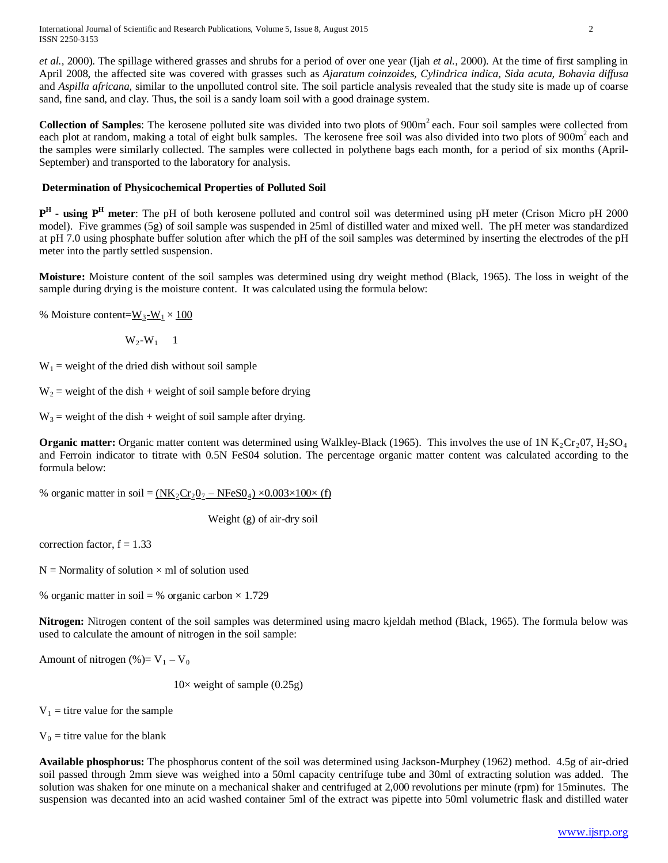International Journal of Scientific and Research Publications, Volume 5, Issue 8, August 2015 2 ISSN 2250-3153

*et al.,* 2000). The spillage withered grasses and shrubs for a period of over one year (Ijah *et al.,* 2000). At the time of first sampling in April 2008, the affected site was covered with grasses such as *Ajaratum coinzoides, Cylindrica indica, Sida acuta, Bohavia diffusa*  and *Aspilla africana*, similar to the unpolluted control site. The soil particle analysis revealed that the study site is made up of coarse sand, fine sand, and clay. Thus, the soil is a sandy loam soil with a good drainage system.

**Collection of Samples**: The kerosene polluted site was divided into two plots of 900m<sup>2</sup> each. Four soil samples were collected from each plot at random, making a total of eight bulk samples. The kerosene free soil was also divided into two plots of 900m<sup>2</sup> each and the samples were similarly collected. The samples were collected in polythene bags each month, for a period of six months (April-September) and transported to the laboratory for analysis.

### **Determination of Physicochemical Properties of Polluted Soil**

**PH - using PH meter**: The pH of both kerosene polluted and control soil was determined using pH meter (Crison Micro pH 2000 model). Five grammes (5g) of soil sample was suspended in 25ml of distilled water and mixed well. The pH meter was standardized at pH 7.0 using phosphate buffer solution after which the pH of the soil samples was determined by inserting the electrodes of the pH meter into the partly settled suspension.

**Moisture:** Moisture content of the soil samples was determined using dry weight method (Black, 1965). The loss in weight of the sample during drying is the moisture content. It was calculated using the formula below:

% Moisture content= $W_3-W_1 \times 100$ 

 $W_2-W_1$  1

 $W_1$  = weight of the dried dish without soil sample

 $W_2$  = weight of the dish + weight of soil sample before drying

 $W_3$  = weight of the dish + weight of soil sample after drying.

**Organic matter:** Organic matter content was determined using Walkley-Black (1965). This involves the use of  $1N K_2Cr_2O7$ ,  $H_2SO_4$ and Ferroin indicator to titrate with 0.5N FeS04 solution. The percentage organic matter content was calculated according to the formula below:

% organic matter in soil =  $(NK_2Cr_2O_7 - NFeSO_4) \times 0.003 \times 100 \times$  (f)

Weight (g) of air-dry soil

correction factor,  $f = 1.33$ 

 $N =$  Normality of solution  $\times$  ml of solution used

% organic matter in soil = % organic carbon  $\times$  1.729

**Nitrogen:** Nitrogen content of the soil samples was determined using macro kjeldah method (Black, 1965). The formula below was used to calculate the amount of nitrogen in the soil sample:

Amount of nitrogen (%)=  $V_1 - V_0$ 

 $10\times$  weight of sample  $(0.25g)$ 

 $V_1$  = titre value for the sample

 $V_0$  = titre value for the blank

**Available phosphorus:** The phosphorus content of the soil was determined using Jackson-Murphey (1962) method. 4.5g of air-dried soil passed through 2mm sieve was weighed into a 50ml capacity centrifuge tube and 30ml of extracting solution was added. The solution was shaken for one minute on a mechanical shaker and centrifuged at 2,000 revolutions per minute (rpm) for 15minutes. The suspension was decanted into an acid washed container 5ml of the extract was pipette into 50ml volumetric flask and distilled water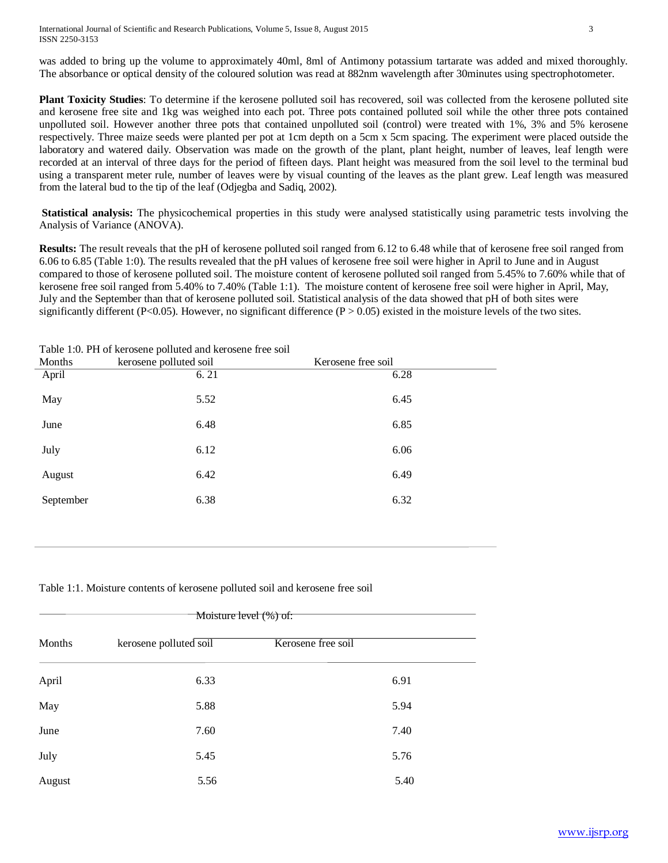was added to bring up the volume to approximately 40ml, 8ml of Antimony potassium tartarate was added and mixed thoroughly. The absorbance or optical density of the coloured solution was read at 882nm wavelength after 30minutes using spectrophotometer.

**Plant Toxicity Studies**: To determine if the kerosene polluted soil has recovered, soil was collected from the kerosene polluted site and kerosene free site and 1kg was weighed into each pot. Three pots contained polluted soil while the other three pots contained unpolluted soil. However another three pots that contained unpolluted soil (control) were treated with 1%, 3% and 5% kerosene respectively. Three maize seeds were planted per pot at 1cm depth on a 5cm x 5cm spacing. The experiment were placed outside the laboratory and watered daily. Observation was made on the growth of the plant, plant height, number of leaves, leaf length were recorded at an interval of three days for the period of fifteen days. Plant height was measured from the soil level to the terminal bud using a transparent meter rule, number of leaves were by visual counting of the leaves as the plant grew. Leaf length was measured from the lateral bud to the tip of the leaf (Odjegba and Sadiq, 2002).

**Statistical analysis:** The physicochemical properties in this study were analysed statistically using parametric tests involving the Analysis of Variance (ANOVA).

**Results:** The result reveals that the pH of kerosene polluted soil ranged from 6.12 to 6.48 while that of kerosene free soil ranged from 6.06 to 6.85 (Table 1:0). The results revealed that the pH values of kerosene free soil were higher in April to June and in August compared to those of kerosene polluted soil. The moisture content of kerosene polluted soil ranged from 5.45% to 7.60% while that of kerosene free soil ranged from 5.40% to 7.40% (Table 1:1). The moisture content of kerosene free soil were higher in April, May, July and the September than that of kerosene polluted soil. Statistical analysis of the data showed that pH of both sites were significantly different (P<0.05). However, no significant difference (P > 0.05) existed in the moisture levels of the two sites.

| Twere from the or her obene politice and her obene her bon |                        |                    |  |  |  |  |  |  |
|------------------------------------------------------------|------------------------|--------------------|--|--|--|--|--|--|
| Months                                                     | kerosene polluted soil | Kerosene free soil |  |  |  |  |  |  |
| April                                                      | 6.21                   | 6.28               |  |  |  |  |  |  |
| May                                                        | 5.52                   | 6.45               |  |  |  |  |  |  |
| June                                                       | 6.48                   | 6.85               |  |  |  |  |  |  |
| July                                                       | 6.12                   | 6.06               |  |  |  |  |  |  |
| August                                                     | 6.42                   | 6.49               |  |  |  |  |  |  |
| September                                                  | 6.38                   | 6.32               |  |  |  |  |  |  |
|                                                            |                        |                    |  |  |  |  |  |  |

Table 1:0. PH of kerosene polluted and kerosene free soil

Table 1:1. Moisture contents of kerosene polluted soil and kerosene free soil

| Moisture level (%) of: |                        |                    |  |  |  |
|------------------------|------------------------|--------------------|--|--|--|
| Months                 | kerosene polluted soil | Kerosene free soil |  |  |  |
| April                  | 6.33                   | 6.91               |  |  |  |
| May                    | 5.88                   | 5.94               |  |  |  |
| June                   | 7.60                   | 7.40               |  |  |  |
| July                   | 5.45                   | 5.76               |  |  |  |
| August                 | 5.56                   | 5.40               |  |  |  |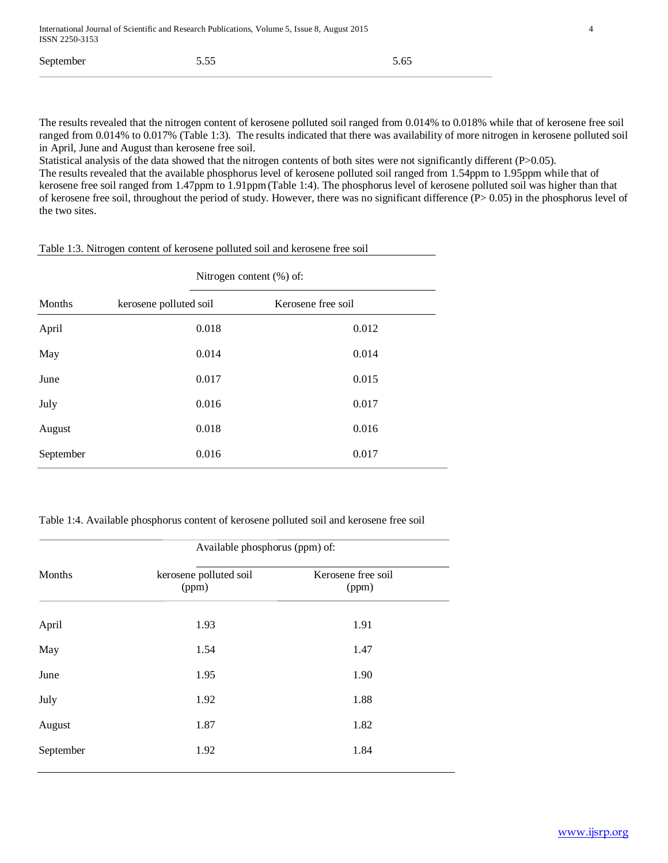| September | 5.55 | 5.65 |
|-----------|------|------|
|-----------|------|------|

The results revealed that the nitrogen content of kerosene polluted soil ranged from 0.014% to 0.018% while that of kerosene free soil ranged from 0.014% to 0.017% (Table 1:3). The results indicated that there was availability of more nitrogen in kerosene polluted soil in April, June and August than kerosene free soil.

Statistical analysis of the data showed that the nitrogen contents of both sites were not significantly different (P>0.05). The results revealed that the available phosphorus level of kerosene polluted soil ranged from 1.54ppm to 1.95ppm while that of kerosene free soil ranged from 1.47ppm to 1.91ppm(Table 1:4). The phosphorus level of kerosene polluted soil was higher than that of kerosene free soil, throughout the period of study. However, there was no significant difference (P> 0.05) in the phosphorus level of the two sites.

Nitrogen content (%) of: Months kerosene polluted soil Kerosene free soil April 0.018 0.012 May 0.014 0.014 June 0.017 0.015 July 0.016 0.017 August 0.018 0.016 September 0.016 0.017

Table 1:3. Nitrogen content of kerosene polluted soil and kerosene free soil

Table 1:4. Available phosphorus content of kerosene polluted soil and kerosene free soil

|           | Available phosphorus (ppm) of:  |                             |  |  |  |
|-----------|---------------------------------|-----------------------------|--|--|--|
| Months    | kerosene polluted soil<br>(ppm) | Kerosene free soil<br>(ppm) |  |  |  |
| April     | 1.93                            | 1.91                        |  |  |  |
| May       | 1.54                            | 1.47                        |  |  |  |
| June      | 1.95                            | 1.90                        |  |  |  |
| July      | 1.92                            | 1.88                        |  |  |  |
| August    | 1.87                            | 1.82                        |  |  |  |
| September | 1.92                            | 1.84                        |  |  |  |
|           |                                 |                             |  |  |  |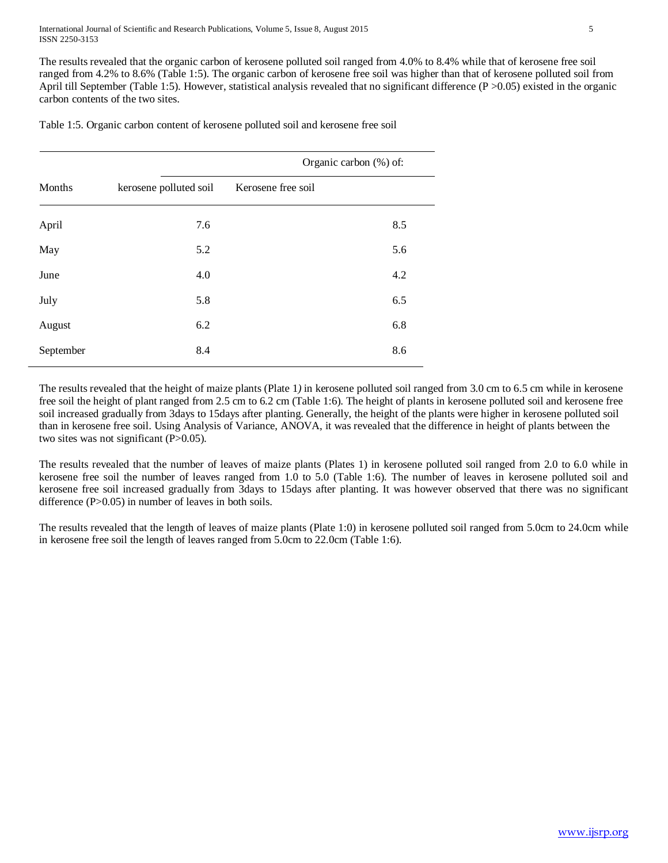International Journal of Scientific and Research Publications, Volume 5, Issue 8, August 2015 5 ISSN 2250-3153

The results revealed that the organic carbon of kerosene polluted soil ranged from 4.0% to 8.4% while that of kerosene free soil ranged from 4.2% to 8.6% (Table 1:5). The organic carbon of kerosene free soil was higher than that of kerosene polluted soil from April till September (Table 1:5). However, statistical analysis revealed that no significant difference  $(P > 0.05)$  existed in the organic carbon contents of the two sites.

Table 1:5. Organic carbon content of kerosene polluted soil and kerosene free soil

|           |                        | Organic carbon (%) of: |
|-----------|------------------------|------------------------|
| Months    | kerosene polluted soil | Kerosene free soil     |
| April     | 7.6                    | 8.5                    |
| May       | 5.2                    | 5.6                    |
| June      | 4.0                    | 4.2                    |
| July      | 5.8                    | 6.5                    |
| August    | 6.2                    | 6.8                    |
| September | 8.4                    | 8.6                    |

The results revealed that the height of maize plants (Plate 1*)* in kerosene polluted soil ranged from 3.0 cm to 6.5 cm while in kerosene free soil the height of plant ranged from 2.5 cm to 6.2 cm (Table 1:6). The height of plants in kerosene polluted soil and kerosene free soil increased gradually from 3days to 15days after planting. Generally, the height of the plants were higher in kerosene polluted soil than in kerosene free soil. Using Analysis of Variance, ANOVA, it was revealed that the difference in height of plants between the two sites was not significant (P>0.05).

The results revealed that the number of leaves of maize plants (Plates 1) in kerosene polluted soil ranged from 2.0 to 6.0 while in kerosene free soil the number of leaves ranged from 1.0 to 5.0 (Table 1:6). The number of leaves in kerosene polluted soil and kerosene free soil increased gradually from 3days to 15days after planting. It was however observed that there was no significant difference (P>0.05) in number of leaves in both soils.

The results revealed that the length of leaves of maize plants (Plate 1:0) in kerosene polluted soil ranged from 5.0cm to 24.0cm while in kerosene free soil the length of leaves ranged from 5.0cm to 22.0cm (Table 1:6).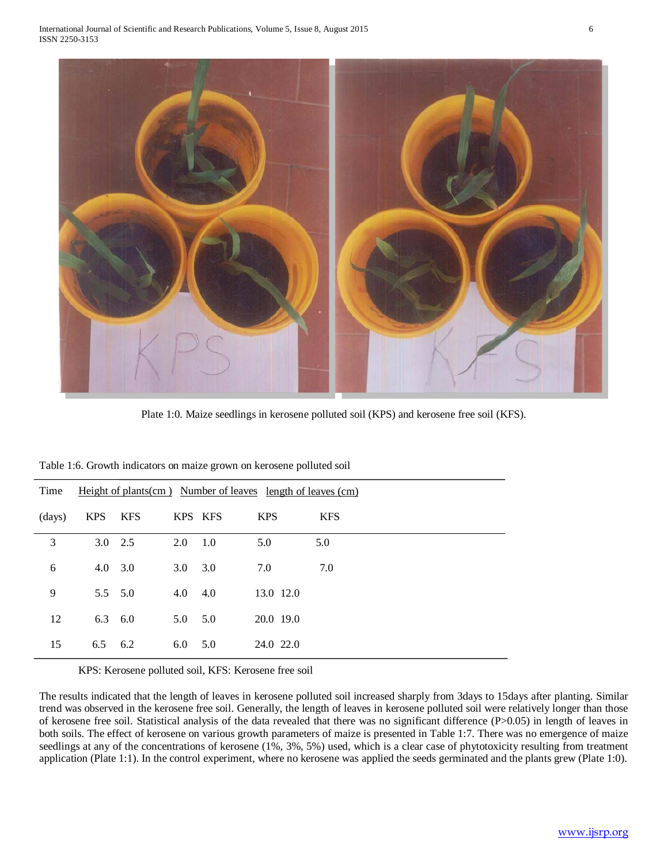

Plate 1:0. Maize seedlings in kerosene polluted soil (KPS) and kerosene free soil (KFS).

| Time   |                 |            |                |     | Height of plants (cm) Number of leaves length of leaves (cm) |            |
|--------|-----------------|------------|----------------|-----|--------------------------------------------------------------|------------|
| (days) | <b>KPS</b>      | <b>KFS</b> | KPS KFS        |     | <b>KPS</b>                                                   | <b>KFS</b> |
| 3      | $3.0\quad 2.5$  |            | 2.0            | 1.0 | 5.0                                                          | 5.0        |
| 6      | $4.0 \quad 3.0$ |            | 3.0            | 3.0 | 7.0                                                          | 7.0        |
| 9      | $5.5\quad 5.0$  |            | 4.0            | 4.0 | 13.0 12.0                                                    |            |
| 12     | $6.3\quad 6.0$  |            | $5.0\quad 5.0$ |     | 20.0 19.0                                                    |            |
| 15     | 6.5             | 6.2        | 6.0            | 5.0 | 24.0 22.0                                                    |            |

Table 1:6. Growth indicators on maize grown on kerosene polluted soil

KPS: Kerosene polluted soil, KFS: Kerosene free soil

The results indicated that the length of leaves in kerosene polluted soil increased sharply from 3days to 15days after planting. Similar trend was observed in the kerosene free soil. Generally, the length of leaves in kerosene polluted soil were relatively longer than those of kerosene free soil. Statistical analysis of the data revealed that there was no significant difference (P>0.05) in length of leaves in both soils. The effect of kerosene on various growth parameters of maize is presented in Table 1:7. There was no emergence of maize seedlings at any of the concentrations of kerosene (1%, 3%, 5%) used, which is a clear case of phytotoxicity resulting from treatment application (Plate 1:1). In the control experiment, where no kerosene was applied the seeds germinated and the plants grew (Plate 1:0).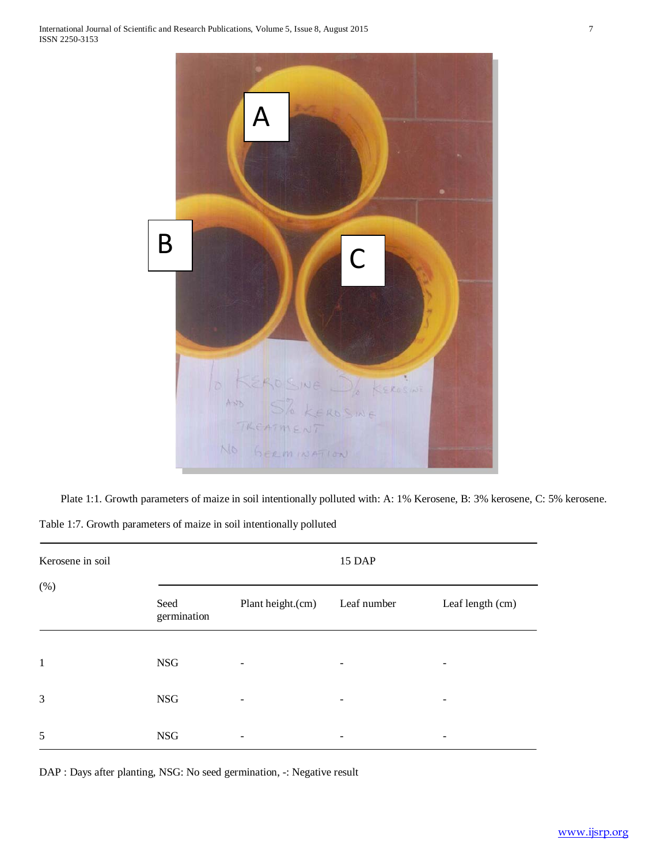

Plate 1:1. Growth parameters of maize in soil intentionally polluted with: A: 1% Kerosene, B: 3% kerosene, C: 5% kerosene. Table 1:7. Growth parameters of maize in soil intentionally polluted

| Kerosene in soil |                     |                   | 15 DAP                   |                          |
|------------------|---------------------|-------------------|--------------------------|--------------------------|
| (% )             | Seed<br>germination | Plant height.(cm) | Leaf number              | Leaf length (cm)         |
| $\mathbf{1}$     | <b>NSG</b>          | -                 | -                        | $\overline{\phantom{a}}$ |
| 3                | <b>NSG</b>          |                   | $\overline{\phantom{a}}$ | -                        |
| 5                | <b>NSG</b>          |                   |                          | $\overline{\phantom{a}}$ |

DAP : Days after planting, NSG: No seed germination, -: Negative result